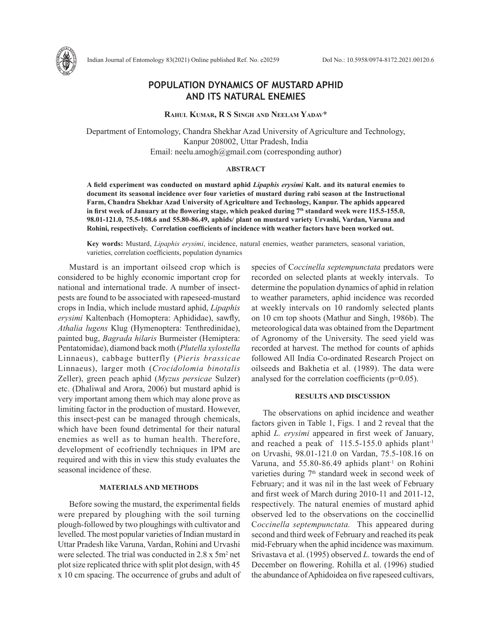

# **POPULATION DYNAMICS OF MUSTARD APHID AND ITS NATURAL ENEMIES**

**Rahul Kumar, R S Singh and Neelam Yadav\***

Department of Entomology, Chandra Shekhar Azad University of Agriculture and Technology, Kanpur 208002, Uttar Pradesh, India Email: neelu.amogh@gmail.com (corresponding author)

### **ABSTRACT**

**A field experiment was conducted on mustard aphid** *Lipaphis erysimi* **Kalt. and its natural enemies to document its seasonal incidence over four varieties of mustard during rabi season at the Instructional Farm, Chandra Shekhar Azad University of Agriculture and Technology, Kanpur. The aphids appeared**  in first week of January at the flowering stage, which peaked during 7<sup>th</sup> standard week were 115.5-155.0, **98.01-121.0, 75.5-108.6 and 55.80-86.49, aphids/ plant on mustard variety Urvashi, Vardan, Varuna and Rohini, respectively. Correlation coefficients of incidence with weather factors have been worked out.** 

**Key words:** Mustard, *Lipaphis erysimi*, incidence, natural enemies, weather parameters, seasonal variation, varieties, correlation coefficients, population dynamics

Mustard is an important oilseed crop which is considered to be highly economic important crop for national and international trade. A number of insectpests are found to be associated with rapeseed-mustard crops in India, which include mustard aphid, *Lipaphis erysimi* Kaltenbach (Homoptera: Aphididae), sawfly, *Athalia lugens* Klug (Hymenoptera: Tenthredinidae), painted bug, *Bagrada hilaris* Burmeister (Hemiptera: Pentatomidae), diamond back moth (*Plutella xylostella*  Linnaeus), cabbage butterfly (*Pieris brassicae*  Linnaeus), larger moth (*Crocidolomia binotalis*  Zeller), green peach aphid (*Myzus persicae* Sulzer) etc. (Dhaliwal and Arora, 2006) but mustard aphid is very important among them which may alone prove as limiting factor in the production of mustard. However, this insect-pest can be managed through chemicals, which have been found detrimental for their natural enemies as well as to human health. Therefore, development of ecofriendly techniques in IPM are required and with this in view this study evaluates the seasonal incidence of these.

# **MATERIALS AND METHODS**

Before sowing the mustard, the experimental fields were prepared by ploughing with the soil turning plough-followed by two ploughings with cultivator and levelled. The most popular varieties of Indian mustard in Uttar Pradesh like Varuna, Vardan, Rohini and Urvashi were selected. The trial was conducted in 2.8 x 5m<sup>2</sup> net plot size replicated thrice with split plot design, with 45 x 10 cm spacing. The occurrence of grubs and adult of

species of C*occinella septempunctata* predators were recorded on selected plants at weekly intervals. To determine the population dynamics of aphid in relation to weather parameters, aphid incidence was recorded at weekly intervals on 10 randomly selected plants on 10 cm top shoots (Mathur and Singh, 1986b). The meteorological data was obtained from the Department of Agronomy of the University. The seed yield was recorded at harvest. The method for counts of aphids followed All India Co-ordinated Research Project on oilseeds and Bakhetia et al. (1989). The data were analysed for the correlation coefficients (p=0.05).

## **RESULTS AND DISCUSSION**

The observations on aphid incidence and weather factors given in Table 1, Figs. 1 and 2 reveal that the aphid *L. erysimi* appeared in first week of January, and reached a peak of 115.5-155.0 aphids plant-1 on Urvashi, 98.01-121.0 on Vardan, 75.5-108.16 on Varuna, and  $55.80 - 86.49$  aphids plant<sup>-1</sup> on Rohini varieties during 7<sup>th</sup> standard week in second week of February; and it was nil in the last week of February and first week of March during 2010-11 and 2011-12, respectively. The natural enemies of mustard aphid observed led to the observations on the coccinellid C*occinella septempunctata.* This appeared during second and third week of February and reached its peak mid-February when the aphid incidence was maximum. Srivastava et al. (1995) observed *L.* towards the end of December on flowering. Rohilla et al. (1996) studied the abundance of Aphidoidea on five rapeseed cultivars,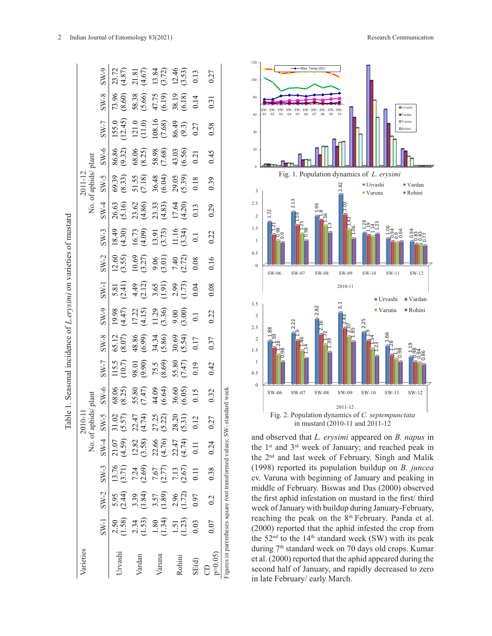|                                                                         |                               | SW-9       | 23.72<br>(4.87)         |                                                                                                                 | $\begin{array}{l} 21.81 \\ (4.67) \\ 13.84 \\ (3.72) \\ 12.46 \\ (3.53) \\ (3.53) \\ \end{array}$ |                                           |                  | 0.27          | Max. Temp.(0C)<br>100                                                                                                                                                                                  |
|-------------------------------------------------------------------------|-------------------------------|------------|-------------------------|-----------------------------------------------------------------------------------------------------------------|---------------------------------------------------------------------------------------------------|-------------------------------------------|------------------|---------------|--------------------------------------------------------------------------------------------------------------------------------------------------------------------------------------------------------|
|                                                                         |                               | $8-W-8$    | $73.96$<br>$(8.60)$     |                                                                                                                 | 58.38<br>(5.66)<br>(47.75<br>(6.19)<br>38.19<br>(6.18)                                            |                                           |                  | 0.31          | 80                                                                                                                                                                                                     |
|                                                                         | No. of aphids/plant           | $SN-7$     | 155.0<br>12.45)         |                                                                                                                 | $\begin{array}{c} 121.0 \\ (11.0) \\ 108.16 \\ (7.68) \\ 86.49 \\ (9.3) \end{array}$              |                                           | 0.27             | 0.58          | 04<br>05<br>06<br>07<br>08<br>09<br>03<br>60<br>40                                                                                                                                                     |
|                                                                         |                               | $SW-6$     | 86.86<br>(9.32)         |                                                                                                                 | $\begin{array}{c} 68.06 \\ (8.25) \\ 58.98 \\ (7.68) \\ 43.03 \\ (6.56) \end{array}$              |                                           | 0.21             | 0.45          | 20                                                                                                                                                                                                     |
|                                                                         | 2011-12                       | $5-W-5$    | 69.39<br>(8.33)         | $51.55$<br>(7.18)                                                                                               | 36.48<br>(6.04)<br>29.05<br>(5.39)                                                                |                                           | 0.18             | 0.39          | Fig. 1. Population dyna                                                                                                                                                                                |
|                                                                         |                               |            |                         |                                                                                                                 |                                                                                                   |                                           |                  |               | 2.82<br>3                                                                                                                                                                                              |
| Table 1. Seasonal incidence of <i>L.erysimi</i> on varieties of mustard |                               | $SW-4$     | 26.63                   | $23.62$<br>(4.86)                                                                                               | 23.33<br>(4.83)<br>17.64<br>(4.20)                                                                |                                           | 0.13             | 0.29          | 2.13<br>2.5<br>$\frac{36}{18}$<br>1.72<br>$\overline{2}$                                                                                                                                               |
|                                                                         |                               | $SW-3$     |                         | 18.430)<br>(4.30)<br>(4.09)<br>(4.09)<br>(3.73)<br>(3.34)<br>(3.34)                                             |                                                                                                   |                                           | $\overline{0}$ . | 0.22          | 1.5<br>1                                                                                                                                                                                               |
|                                                                         |                               | $SW-2$     |                         | $\begin{array}{l} 12.60 \\ (3.55) \\ 10.69 \\ (3.27) \\ 9.06 \\ (3.01) \\ 7.40 \\ \hline \end{array}$           |                                                                                                   |                                           | 0.08             | 0.16          | 0.5<br>$\mathbf{0}$<br>SW-06<br>SW-08<br>SW-07<br>SW.                                                                                                                                                  |
|                                                                         |                               | $SW-1$     |                         | 5.81<br>(2.41)<br>4.49<br>(2.55)<br>(1.73)<br>(1.73)                                                            |                                                                                                   |                                           | 0.04             | 0.08          | 2010                                                                                                                                                                                                   |
|                                                                         |                               | $8-W-9$    | (19.98)                 | 17.22<br>(4.15)                                                                                                 | 11.29                                                                                             | 9.00                                      | $\overline{0}$ . | 0.22          | 3.5<br>3.1<br>2.82<br>3                                                                                                                                                                                |
|                                                                         |                               | $SW-8$     | 65.12<br>(8.07)         |                                                                                                                 | 48.86<br>(6.99)<br>34.34<br>30.69<br>30.69                                                        |                                           | 0.17             | 0.37          | 2.5<br>$\frac{1.88}{59}$<br>$\overline{2}$<br>1.5                                                                                                                                                      |
|                                                                         |                               | $2-W-7$    | $115.5$<br>(10.7)       | 98.01<br>(9.90)                                                                                                 |                                                                                                   | $75.5$<br>$(8.69)$<br>$55.80$<br>$(7.47)$ | 0.19             | 0.42          | 1<br>0.5                                                                                                                                                                                               |
|                                                                         |                               | $SW-6$     | $68.06$<br>$(8.25)$     | 55.80<br>(7.47)                                                                                                 | $44.09$<br>(6.64)                                                                                 | $36.60$<br>$(6.05)$                       | 0.15             | 0.32          | $\mathbf{0}$<br>SW-06<br>SW-07<br>SW-08<br>SW-                                                                                                                                                         |
|                                                                         | No. of aphids/plant<br>2010-1 | $S-N$<br>S | $1.02$<br>5.57)<br>ຕ "ປ |                                                                                                                 | 22.47<br>(4.74)<br>27.25<br>(5.21)<br>28.20                                                       |                                           |                  | 27            | standard week<br>2011<br>Fig. 2. Population dynamic<br>in mustard (2010-                                                                                                                               |
|                                                                         |                               |            |                         |                                                                                                                 |                                                                                                   |                                           |                  |               | and observed that L. erysimi                                                                                                                                                                           |
|                                                                         |                               | $SW-4$     |                         | 21.07<br>(4.59)<br>(2.82, 36, 38)<br>(2.32, 4.74)<br>(4.74)<br>(4.74)                                           |                                                                                                   |                                           |                  | 0.24          | the 1 <sup>st</sup> and 3 <sup>rd</sup> week of Janu<br>the 2 <sup>nd</sup> and last week of Fe                                                                                                        |
|                                                                         |                               | $SW-3$     |                         | $\begin{array}{c} 13.76 \\ (3.71) \\ 7.24 \\ (2.69) \\ 7.67 \\ (2.77) \\ 7.13 \\ (2.67) \\ 0.11 \\ \end{array}$ |                                                                                                   |                                           |                  | 0.38          | (1998) reported its populati<br>cv. Varuna with beginning o                                                                                                                                            |
|                                                                         |                               | $SW-2$     |                         | 5.95<br>(2.33)<br>3.35<br>3.57<br>3.57<br>2.96<br>3.7<br>3.97<br>3.97                                           |                                                                                                   |                                           |                  | 0.2           | middle of February. Biswas<br>the first aphid infestation on<br>week of January with buildup                                                                                                           |
|                                                                         |                               | $SW-1$     |                         | 2.50<br>1.53<br>1.53<br>1.54<br>1.51<br>1.53<br>1.51<br>1.53                                                    |                                                                                                   |                                           |                  | 0.07          | reaching the peak on the 8<br>(2000) reported that the aph<br>the 52 <sup>nd</sup> to the 14 <sup>th</sup> standard                                                                                    |
|                                                                         | Varieties                     |            | Jrvashi                 | Vardan                                                                                                          | Varuna                                                                                            | Rohini                                    | SE(d)            | $p=0.05$<br>8 | igures in parentheses square root transformed values; SW<br>during 7 <sup>th</sup> standard week on<br>et al. (2000) reported that the<br>second half of January, and<br>in late February/ early Marcl |



and observed that *L. erysimi* appeared on *B. napus* in the 1st and 3rd week of January; and reached peak in the 2nd and last week of February. Singh and Malik (1998) reported its population buildup on *B. juncea*  cv. Varuna with beginning of January and peaking in middle of February. Biswas and Das (2000) observed the first aphid infestation on mustard in the first/ third week of January with buildup during January-February, reaching the peak on the 8<sup>th</sup> February. Panda et al. (2000) reported that the aphid infested the crop from the  $52<sup>nd</sup>$  to the  $14<sup>th</sup>$  standard week (SW) with its peak during 7<sup>th</sup> standard week on 70 days old crops. Kumar et al. (2000) reported that the aphid appeared during the second half of January, and rapidly decreased to zero in late February/ early March.